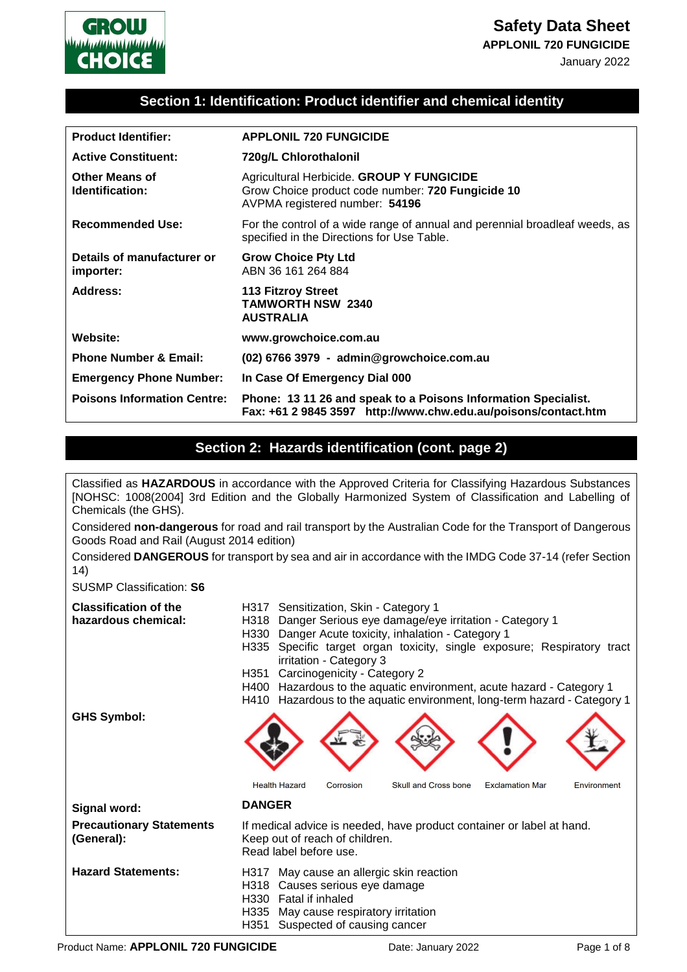







### **Section 1: Identification: Product identifier and chemical identity**

| <b>Product Identifier:</b>               | <b>APPLONIL 720 FUNGICIDE</b>                                                                                                    |  |
|------------------------------------------|----------------------------------------------------------------------------------------------------------------------------------|--|
| <b>Active Constituent:</b>               | 720g/L Chlorothalonil                                                                                                            |  |
| <b>Other Means of</b><br>Identification: | Agricultural Herbicide. GROUP Y FUNGICIDE<br>Grow Choice product code number: 720 Fungicide 10<br>AVPMA registered number: 54196 |  |
| <b>Recommended Use:</b>                  | For the control of a wide range of annual and perennial broadleaf weeds, as<br>specified in the Directions for Use Table.        |  |
| Details of manufacturer or<br>importer:  | <b>Grow Choice Pty Ltd</b><br>ABN 36 161 264 884                                                                                 |  |
| Address:                                 | <b>113 Fitzroy Street</b><br><b>TAMWORTH NSW 2340</b><br><b>AUSTRALIA</b>                                                        |  |
| Website:                                 | www.growchoice.com.au                                                                                                            |  |
| <b>Phone Number &amp; Email:</b>         | (02) 6766 3979 - admin@growchoice.com.au                                                                                         |  |
| <b>Emergency Phone Number:</b>           | In Case Of Emergency Dial 000                                                                                                    |  |
| <b>Poisons Information Centre:</b>       | Phone: 13 11 26 and speak to a Poisons Information Specialist.<br>Fax: +61 2 9845 3597 http://www.chw.edu.au/poisons/contact.htm |  |

### **Section 2: Hazards identification (cont. page 2)**

Classified as **HAZARDOUS** in accordance with the Approved Criteria for Classifying Hazardous Substances [NOHSC: 1008(2004] 3rd Edition and the Globally Harmonized System of Classification and Labelling of Chemicals (the GHS).

Considered **non-dangerous** for road and rail transport by the Australian Code for the Transport of Dangerous Goods Road and Rail (August 2014 edition)

Considered **DANGEROUS** for transport by sea and air in accordance with the IMDG Code 37-14 (refer Section 14)

SUSMP Classification: **S6**

| <b>Classification of the</b><br>hazardous chemical:<br><b>GHS Symbol:</b> | H317 Sensitization, Skin - Category 1<br>H318 Danger Serious eye damage/eye irritation - Category 1<br>H330 Danger Acute toxicity, inhalation - Category 1<br>Specific target organ toxicity, single exposure; Respiratory tract<br>H335<br>irritation - Category 3<br>Carcinogenicity - Category 2<br>H351<br>Hazardous to the aquatic environment, acute hazard - Category 1<br>H400<br>H410 Hazardous to the aquatic environment, long-term hazard - Category 1 |  |  |
|---------------------------------------------------------------------------|--------------------------------------------------------------------------------------------------------------------------------------------------------------------------------------------------------------------------------------------------------------------------------------------------------------------------------------------------------------------------------------------------------------------------------------------------------------------|--|--|
|                                                                           | Skull and Cross bone<br><b>Health Hazard</b><br><b>Exclamation Mar</b><br>Corrosion<br>Environment                                                                                                                                                                                                                                                                                                                                                                 |  |  |
| Signal word:                                                              | <b>DANGER</b>                                                                                                                                                                                                                                                                                                                                                                                                                                                      |  |  |
| <b>Precautionary Statements</b><br>(General):                             | If medical advice is needed, have product container or label at hand.<br>Keep out of reach of children.<br>Read label before use.                                                                                                                                                                                                                                                                                                                                  |  |  |
| <b>Hazard Statements:</b>                                                 | H317 May cause an allergic skin reaction<br>Causes serious eye damage<br>H318<br>H330 Fatal if inhaled<br>H335 May cause respiratory irritation<br>H351<br>Suspected of causing cancer                                                                                                                                                                                                                                                                             |  |  |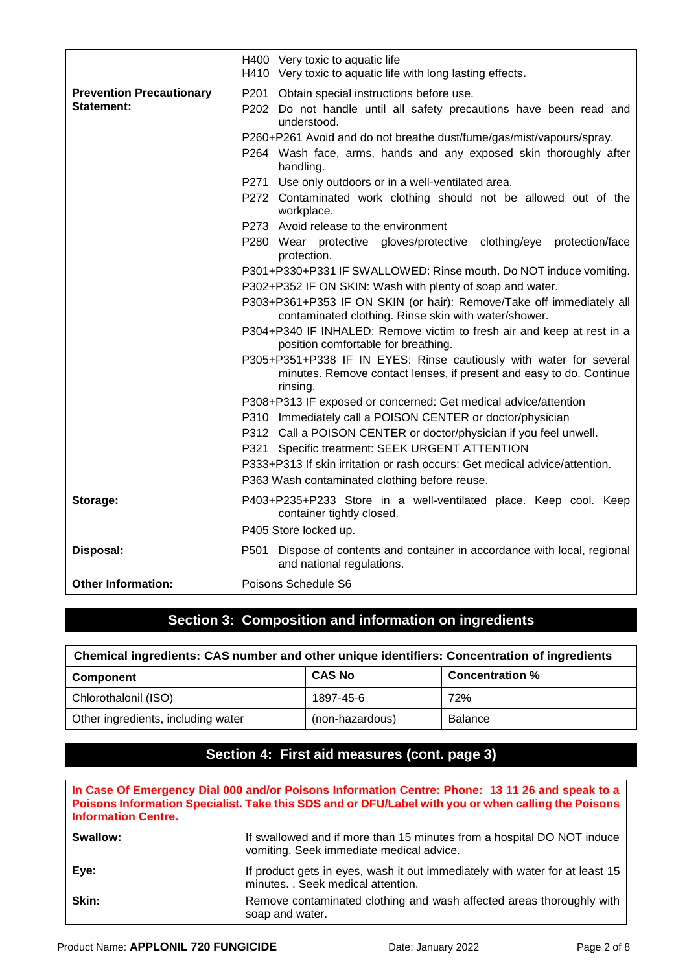|                                 | H400 Very toxic to aquatic life<br>H410 Very toxic to aquatic life with long lasting effects.                                                                                                                                                                                                                                                                                                          |  |  |  |
|---------------------------------|--------------------------------------------------------------------------------------------------------------------------------------------------------------------------------------------------------------------------------------------------------------------------------------------------------------------------------------------------------------------------------------------------------|--|--|--|
| <b>Prevention Precautionary</b> | P201 Obtain special instructions before use.                                                                                                                                                                                                                                                                                                                                                           |  |  |  |
| <b>Statement:</b>               | P202 Do not handle until all safety precautions have been read and<br>understood.                                                                                                                                                                                                                                                                                                                      |  |  |  |
|                                 | P260+P261 Avoid and do not breathe dust/fume/gas/mist/vapours/spray.                                                                                                                                                                                                                                                                                                                                   |  |  |  |
|                                 | P264 Wash face, arms, hands and any exposed skin thoroughly after<br>handling.                                                                                                                                                                                                                                                                                                                         |  |  |  |
|                                 | P271 Use only outdoors or in a well-ventilated area.                                                                                                                                                                                                                                                                                                                                                   |  |  |  |
|                                 | P272 Contaminated work clothing should not be allowed out of the<br>workplace.                                                                                                                                                                                                                                                                                                                         |  |  |  |
|                                 | P273 Avoid release to the environment                                                                                                                                                                                                                                                                                                                                                                  |  |  |  |
|                                 | P280 Wear protective gloves/protective clothing/eye protection/face<br>protection.                                                                                                                                                                                                                                                                                                                     |  |  |  |
|                                 | P301+P330+P331 IF SWALLOWED: Rinse mouth. Do NOT induce vomiting.                                                                                                                                                                                                                                                                                                                                      |  |  |  |
|                                 | P302+P352 IF ON SKIN: Wash with plenty of soap and water.                                                                                                                                                                                                                                                                                                                                              |  |  |  |
|                                 | P303+P361+P353 IF ON SKIN (or hair): Remove/Take off immediately all<br>contaminated clothing. Rinse skin with water/shower.<br>P304+P340 IF INHALED: Remove victim to fresh air and keep at rest in a<br>position comfortable for breathing.<br>P305+P351+P338 IF IN EYES: Rinse cautiously with water for several<br>minutes. Remove contact lenses, if present and easy to do. Continue<br>rinsing. |  |  |  |
|                                 |                                                                                                                                                                                                                                                                                                                                                                                                        |  |  |  |
|                                 |                                                                                                                                                                                                                                                                                                                                                                                                        |  |  |  |
|                                 | P308+P313 IF exposed or concerned: Get medical advice/attention                                                                                                                                                                                                                                                                                                                                        |  |  |  |
|                                 | P310 Immediately call a POISON CENTER or doctor/physician<br>P312 Call a POISON CENTER or doctor/physician if you feel unwell.<br>P321 Specific treatment: SEEK URGENT ATTENTION<br>P333+P313 If skin irritation or rash occurs: Get medical advice/attention.                                                                                                                                         |  |  |  |
|                                 |                                                                                                                                                                                                                                                                                                                                                                                                        |  |  |  |
|                                 |                                                                                                                                                                                                                                                                                                                                                                                                        |  |  |  |
|                                 |                                                                                                                                                                                                                                                                                                                                                                                                        |  |  |  |
|                                 | P363 Wash contaminated clothing before reuse.                                                                                                                                                                                                                                                                                                                                                          |  |  |  |
| Storage:                        | P403+P235+P233 Store in a well-ventilated place. Keep cool. Keep<br>container tightly closed.                                                                                                                                                                                                                                                                                                          |  |  |  |
|                                 | P405 Store locked up.                                                                                                                                                                                                                                                                                                                                                                                  |  |  |  |
| Disposal:                       | P501 Dispose of contents and container in accordance with local, regional<br>and national regulations.                                                                                                                                                                                                                                                                                                 |  |  |  |
| <b>Other Information:</b>       | Poisons Schedule S6                                                                                                                                                                                                                                                                                                                                                                                    |  |  |  |

## **Section 3: Composition and information on ingredients**

| Chemical ingredients: CAS number and other unique identifiers: Concentration of ingredients |                 |                        |  |
|---------------------------------------------------------------------------------------------|-----------------|------------------------|--|
| Component                                                                                   | <b>CAS No</b>   | <b>Concentration %</b> |  |
| Chlorothalonil (ISO)                                                                        | 1897-45-6       | 72%                    |  |
| Other ingredients, including water                                                          | (non-hazardous) | <b>Balance</b>         |  |

# **Section 4: First aid measures (cont. page 3)**

| <b>Information Centre.</b> | In Case Of Emergency Dial 000 and/or Poisons Information Centre: Phone: 13 11 26 and speak to a<br>Poisons Information Specialist. Take this SDS and or DFU/Label with you or when calling the Poisons |
|----------------------------|--------------------------------------------------------------------------------------------------------------------------------------------------------------------------------------------------------|
| Swallow:                   | If swallowed and if more than 15 minutes from a hospital DO NOT induce<br>vomiting. Seek immediate medical advice.                                                                                     |
| Eye:                       | If product gets in eyes, wash it out immediately with water for at least 15<br>minutes. . Seek medical attention.                                                                                      |
| Skin:                      | Remove contaminated clothing and wash affected areas thoroughly with<br>soap and water.                                                                                                                |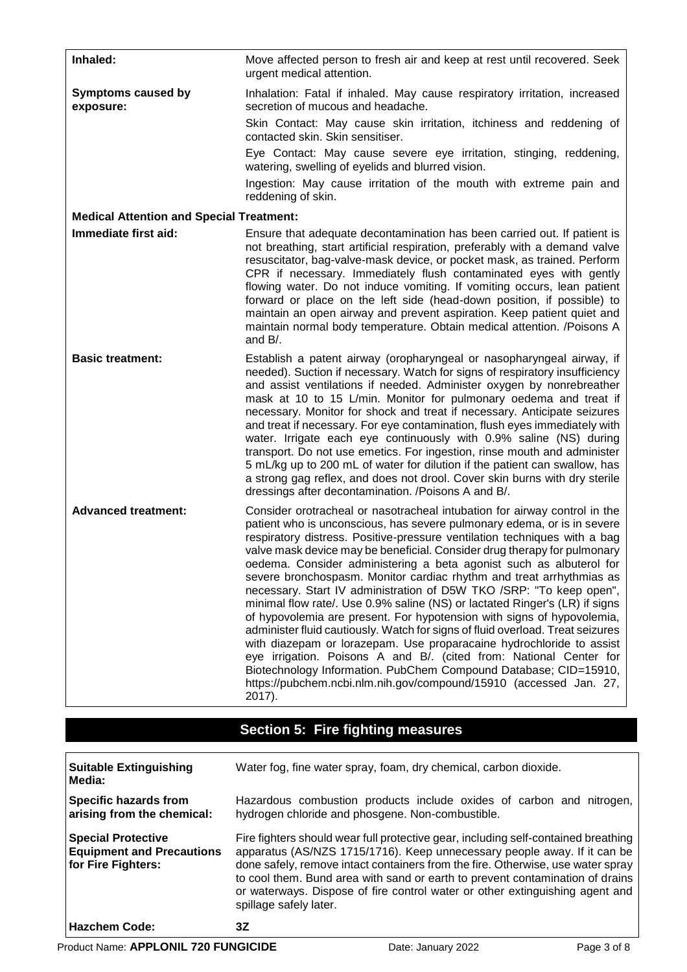| Inhaled:                                                                                  | Move affected person to fresh air and keep at rest until recovered. Seek<br>urgent medical attention.                                                                                                                                                                                                                                                                                                                                                                                                                                                                                                                                                                                                                                                                                                                                                                                                                                                                                                                                                                            |
|-------------------------------------------------------------------------------------------|----------------------------------------------------------------------------------------------------------------------------------------------------------------------------------------------------------------------------------------------------------------------------------------------------------------------------------------------------------------------------------------------------------------------------------------------------------------------------------------------------------------------------------------------------------------------------------------------------------------------------------------------------------------------------------------------------------------------------------------------------------------------------------------------------------------------------------------------------------------------------------------------------------------------------------------------------------------------------------------------------------------------------------------------------------------------------------|
| <b>Symptoms caused by</b><br>exposure:<br><b>Medical Attention and Special Treatment:</b> | Inhalation: Fatal if inhaled. May cause respiratory irritation, increased<br>secretion of mucous and headache.<br>Skin Contact: May cause skin irritation, itchiness and reddening of<br>contacted skin. Skin sensitiser.<br>Eye Contact: May cause severe eye irritation, stinging, reddening,<br>watering, swelling of eyelids and blurred vision.<br>Ingestion: May cause irritation of the mouth with extreme pain and<br>reddening of skin.                                                                                                                                                                                                                                                                                                                                                                                                                                                                                                                                                                                                                                 |
| Immediate first aid:                                                                      | Ensure that adequate decontamination has been carried out. If patient is                                                                                                                                                                                                                                                                                                                                                                                                                                                                                                                                                                                                                                                                                                                                                                                                                                                                                                                                                                                                         |
|                                                                                           | not breathing, start artificial respiration, preferably with a demand valve<br>resuscitator, bag-valve-mask device, or pocket mask, as trained. Perform<br>CPR if necessary. Immediately flush contaminated eyes with gently<br>flowing water. Do not induce vomiting. If vomiting occurs, lean patient<br>forward or place on the left side (head-down position, if possible) to<br>maintain an open airway and prevent aspiration. Keep patient quiet and<br>maintain normal body temperature. Obtain medical attention. /Poisons A<br>and B/.                                                                                                                                                                                                                                                                                                                                                                                                                                                                                                                                 |
| <b>Basic treatment:</b>                                                                   | Establish a patent airway (oropharyngeal or nasopharyngeal airway, if<br>needed). Suction if necessary. Watch for signs of respiratory insufficiency<br>and assist ventilations if needed. Administer oxygen by nonrebreather<br>mask at 10 to 15 L/min. Monitor for pulmonary oedema and treat if<br>necessary. Monitor for shock and treat if necessary. Anticipate seizures<br>and treat if necessary. For eye contamination, flush eyes immediately with<br>water. Irrigate each eye continuously with 0.9% saline (NS) during<br>transport. Do not use emetics. For ingestion, rinse mouth and administer<br>5 mL/kg up to 200 mL of water for dilution if the patient can swallow, has<br>a strong gag reflex, and does not drool. Cover skin burns with dry sterile<br>dressings after decontamination. /Poisons A and B/.                                                                                                                                                                                                                                                |
| <b>Advanced treatment:</b>                                                                | Consider orotracheal or nasotracheal intubation for airway control in the<br>patient who is unconscious, has severe pulmonary edema, or is in severe<br>respiratory distress. Positive-pressure ventilation techniques with a bag<br>valve mask device may be beneficial. Consider drug therapy for pulmonary<br>oedema. Consider administering a beta agonist such as albuterol for<br>severe bronchospasm. Monitor cardiac rhythm and treat arrhythmias as<br>necessary. Start IV administration of D5W TKO /SRP: "To keep open",<br>minimal flow rate/. Use 0.9% saline (NS) or lactated Ringer's (LR) if signs<br>of hypovolemia are present. For hypotension with signs of hypovolemia,<br>administer fluid cautiously. Watch for signs of fluid overload. Treat seizures<br>with diazepam or lorazepam. Use proparacaine hydrochloride to assist<br>eye irrigation. Poisons A and B/. (cited from: National Center for<br>Biotechnology Information. PubChem Compound Database; CID=15910,<br>https://pubchem.ncbi.nlm.nih.gov/compound/15910 (accessed Jan. 27,<br>2017). |

# **Section 5: Fire fighting measures**

| <b>Suitable Extinguishing</b><br>Media:                                             | Water fog, fine water spray, foam, dry chemical, carbon dioxide.                                                                                                                                                                                                                                                                                                                                                                             |
|-------------------------------------------------------------------------------------|----------------------------------------------------------------------------------------------------------------------------------------------------------------------------------------------------------------------------------------------------------------------------------------------------------------------------------------------------------------------------------------------------------------------------------------------|
| <b>Specific hazards from</b><br>arising from the chemical:                          | Hazardous combustion products include oxides of carbon and nitrogen,<br>hydrogen chloride and phosgene. Non-combustible.                                                                                                                                                                                                                                                                                                                     |
| <b>Special Protective</b><br><b>Equipment and Precautions</b><br>for Fire Fighters: | Fire fighters should wear full protective gear, including self-contained breathing<br>apparatus (AS/NZS 1715/1716). Keep unnecessary people away. If it can be<br>done safely, remove intact containers from the fire. Otherwise, use water spray<br>to cool them. Bund area with sand or earth to prevent contamination of drains<br>or waterways. Dispose of fire control water or other extinguishing agent and<br>spillage safely later. |
| <b>Hazchem Code:</b>                                                                | 3Ζ                                                                                                                                                                                                                                                                                                                                                                                                                                           |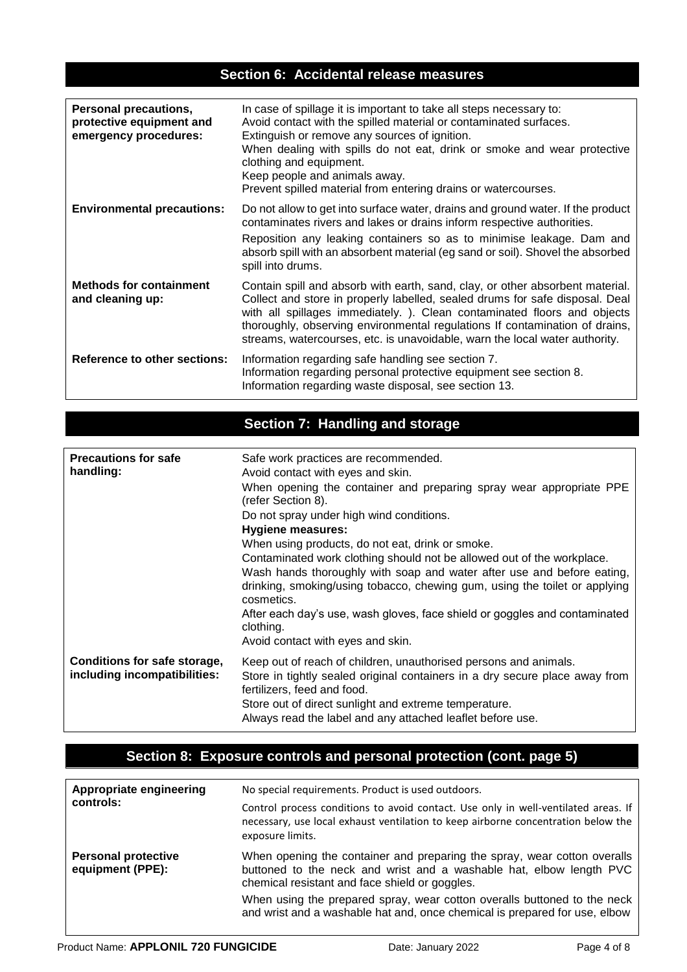## **Section 6: Accidental release measures**

| <b>Personal precautions,</b><br>protective equipment and<br>emergency procedures: | In case of spillage it is important to take all steps necessary to:<br>Avoid contact with the spilled material or contaminated surfaces.<br>Extinguish or remove any sources of ignition.<br>When dealing with spills do not eat, drink or smoke and wear protective<br>clothing and equipment.<br>Keep people and animals away.<br>Prevent spilled material from entering drains or watercourses.      |
|-----------------------------------------------------------------------------------|---------------------------------------------------------------------------------------------------------------------------------------------------------------------------------------------------------------------------------------------------------------------------------------------------------------------------------------------------------------------------------------------------------|
| <b>Environmental precautions:</b>                                                 | Do not allow to get into surface water, drains and ground water. If the product<br>contaminates rivers and lakes or drains inform respective authorities.<br>Reposition any leaking containers so as to minimise leakage. Dam and<br>absorb spill with an absorbent material (eg sand or soil). Shovel the absorbed<br>spill into drums.                                                                |
| <b>Methods for containment</b><br>and cleaning up:                                | Contain spill and absorb with earth, sand, clay, or other absorbent material.<br>Collect and store in properly labelled, sealed drums for safe disposal. Deal<br>with all spillages immediately. ). Clean contaminated floors and objects<br>thoroughly, observing environmental regulations If contamination of drains,<br>streams, watercourses, etc. is unavoidable, warn the local water authority. |
| <b>Reference to other sections:</b>                                               | Information regarding safe handling see section 7.<br>Information regarding personal protective equipment see section 8.<br>Information regarding waste disposal, see section 13.                                                                                                                                                                                                                       |

# **Section 7: Handling and storage**

| <b>Precautions for safe</b><br>handling:                     | Safe work practices are recommended.<br>Avoid contact with eyes and skin.<br>When opening the container and preparing spray wear appropriate PPE<br>(refer Section 8).<br>Do not spray under high wind conditions.<br><b>Hygiene measures:</b><br>When using products, do not eat, drink or smoke.<br>Contaminated work clothing should not be allowed out of the workplace.<br>Wash hands thoroughly with soap and water after use and before eating,<br>drinking, smoking/using tobacco, chewing gum, using the toilet or applying<br>cosmetics.<br>After each day's use, wash gloves, face shield or goggles and contaminated<br>clothing.<br>Avoid contact with eyes and skin. |
|--------------------------------------------------------------|------------------------------------------------------------------------------------------------------------------------------------------------------------------------------------------------------------------------------------------------------------------------------------------------------------------------------------------------------------------------------------------------------------------------------------------------------------------------------------------------------------------------------------------------------------------------------------------------------------------------------------------------------------------------------------|
| Conditions for safe storage,<br>including incompatibilities: | Keep out of reach of children, unauthorised persons and animals.<br>Store in tightly sealed original containers in a dry secure place away from<br>fertilizers, feed and food.<br>Store out of direct sunlight and extreme temperature.<br>Always read the label and any attached leaflet before use.                                                                                                                                                                                                                                                                                                                                                                              |

## **Section 8: Exposure controls and personal protection (cont. page 5)**

| Appropriate engineering<br>controls:           | No special requirements. Product is used outdoors.                                                                                                                                                |  |
|------------------------------------------------|---------------------------------------------------------------------------------------------------------------------------------------------------------------------------------------------------|--|
|                                                | Control process conditions to avoid contact. Use only in well-ventilated areas. If<br>necessary, use local exhaust ventilation to keep airborne concentration below the<br>exposure limits.       |  |
| <b>Personal protective</b><br>equipment (PPE): | When opening the container and preparing the spray, wear cotton overalls<br>buttoned to the neck and wrist and a washable hat, elbow length PVC<br>chemical resistant and face shield or goggles. |  |
|                                                | When using the prepared spray, wear cotton overalls buttoned to the neck<br>and wrist and a washable hat and, once chemical is prepared for use, elbow                                            |  |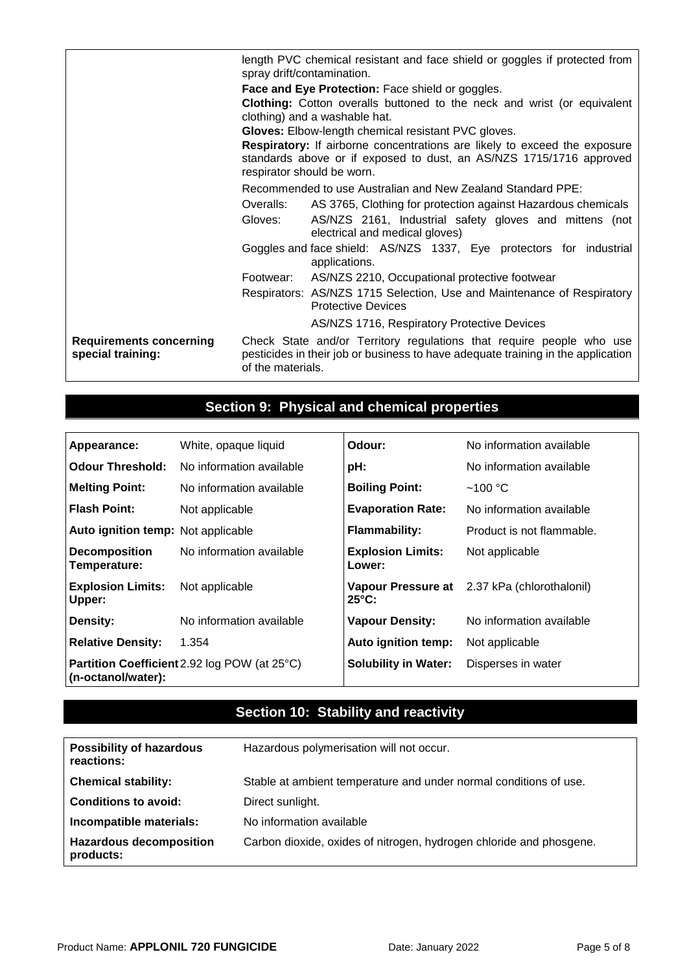|                                                     | length PVC chemical resistant and face shield or goggles if protected from<br>spray drift/contamination.                                                                      |  |  |
|-----------------------------------------------------|-------------------------------------------------------------------------------------------------------------------------------------------------------------------------------|--|--|
|                                                     | Face and Eye Protection: Face shield or goggles.                                                                                                                              |  |  |
|                                                     | <b>Clothing:</b> Cotton overalls buttoned to the neck and wrist (or equivalent                                                                                                |  |  |
|                                                     | clothing) and a washable hat.                                                                                                                                                 |  |  |
|                                                     | Gloves: Elbow-length chemical resistant PVC gloves.                                                                                                                           |  |  |
|                                                     | Respiratory: If airborne concentrations are likely to exceed the exposure                                                                                                     |  |  |
|                                                     | standards above or if exposed to dust, an AS/NZS 1715/1716 approved<br>respirator should be worn.                                                                             |  |  |
|                                                     | Recommended to use Australian and New Zealand Standard PPE:                                                                                                                   |  |  |
|                                                     | Overalls:<br>AS 3765, Clothing for protection against Hazardous chemicals                                                                                                     |  |  |
|                                                     | Gloves:<br>AS/NZS 2161, Industrial safety gloves and mittens (not<br>electrical and medical gloves)                                                                           |  |  |
|                                                     | Goggles and face shield: AS/NZS 1337, Eye protectors for industrial<br>applications.                                                                                          |  |  |
|                                                     | AS/NZS 2210, Occupational protective footwear<br>Footwear:                                                                                                                    |  |  |
|                                                     | Respirators: AS/NZS 1715 Selection, Use and Maintenance of Respiratory<br><b>Protective Devices</b>                                                                           |  |  |
|                                                     | AS/NZS 1716, Respiratory Protective Devices                                                                                                                                   |  |  |
| <b>Requirements concerning</b><br>special training: | Check State and/or Territory regulations that require people who use<br>pesticides in their job or business to have adequate training in the application<br>of the materials. |  |  |

# **Section 9: Physical and chemical properties**

| Appearance:                                                               | White, opaque liquid     | Odour:                             | No information available                     |
|---------------------------------------------------------------------------|--------------------------|------------------------------------|----------------------------------------------|
| <b>Odour Threshold:</b>                                                   | No information available | pH:                                | No information available                     |
| <b>Melting Point:</b>                                                     | No information available | <b>Boiling Point:</b>              | $~100~\mathrm{^{\circ}C}$                    |
| <b>Flash Point:</b>                                                       | Not applicable           | <b>Evaporation Rate:</b>           | No information available                     |
| Auto ignition temp: Not applicable                                        |                          | <b>Flammability:</b>               | Product is not flammable.                    |
| <b>Decomposition</b><br>Temperature:                                      | No information available | <b>Explosion Limits:</b><br>Lower: | Not applicable                               |
| <b>Explosion Limits:</b><br>Upper:                                        | Not applicable           | $25^{\circ}$ C:                    | Vapour Pressure at 2.37 kPa (chlorothalonil) |
| Density:                                                                  | No information available | <b>Vapour Density:</b>             | No information available                     |
| <b>Relative Density:</b>                                                  | 1.354                    | Auto ignition temp:                | Not applicable                               |
| <b>Partition Coefficient</b> 2.92 log POW (at 25°C)<br>(n-octanol/water): |                          | <b>Solubility in Water:</b>        | Disperses in water                           |

## **Section 10: Stability and reactivity**

| <b>Possibility of hazardous</b><br>reactions: | Hazardous polymerisation will not occur.                            |
|-----------------------------------------------|---------------------------------------------------------------------|
| <b>Chemical stability:</b>                    | Stable at ambient temperature and under normal conditions of use.   |
| <b>Conditions to avoid:</b>                   | Direct sunlight.                                                    |
| Incompatible materials:                       | No information available                                            |
| <b>Hazardous decomposition</b><br>products:   | Carbon dioxide, oxides of nitrogen, hydrogen chloride and phosgene. |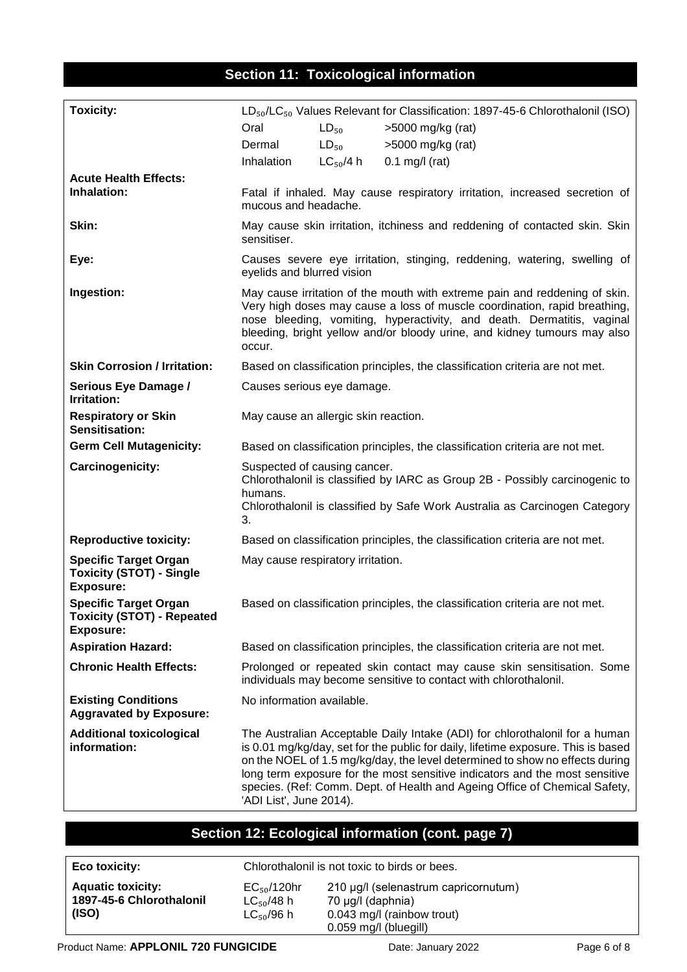### **Section 11: Toxicological information**

| <b>Toxicity:</b>                                                                    | $LD_{50}/LC_{50}$ Values Relevant for Classification: 1897-45-6 Chlorothalonil (ISO)                                                                                                                                                                                                                                                                                                                                                     |               |                                                                              |  |  |
|-------------------------------------------------------------------------------------|------------------------------------------------------------------------------------------------------------------------------------------------------------------------------------------------------------------------------------------------------------------------------------------------------------------------------------------------------------------------------------------------------------------------------------------|---------------|------------------------------------------------------------------------------|--|--|
|                                                                                     | Oral                                                                                                                                                                                                                                                                                                                                                                                                                                     | $LD_{50}$     | >5000 mg/kg (rat)                                                            |  |  |
|                                                                                     | Dermal                                                                                                                                                                                                                                                                                                                                                                                                                                   | $LD_{50}$     | >5000 mg/kg (rat)                                                            |  |  |
|                                                                                     | Inhalation                                                                                                                                                                                                                                                                                                                                                                                                                               | $LC_{50}/4 h$ | $0.1$ mg/l (rat)                                                             |  |  |
| <b>Acute Health Effects:</b>                                                        |                                                                                                                                                                                                                                                                                                                                                                                                                                          |               |                                                                              |  |  |
| Inhalation:                                                                         | Fatal if inhaled. May cause respiratory irritation, increased secretion of<br>mucous and headache.                                                                                                                                                                                                                                                                                                                                       |               |                                                                              |  |  |
| Skin:                                                                               | May cause skin irritation, itchiness and reddening of contacted skin. Skin<br>sensitiser.                                                                                                                                                                                                                                                                                                                                                |               |                                                                              |  |  |
| Eye:                                                                                | Causes severe eye irritation, stinging, reddening, watering, swelling of<br>eyelids and blurred vision                                                                                                                                                                                                                                                                                                                                   |               |                                                                              |  |  |
| Ingestion:                                                                          | May cause irritation of the mouth with extreme pain and reddening of skin.<br>Very high doses may cause a loss of muscle coordination, rapid breathing,<br>nose bleeding, vomiting, hyperactivity, and death. Dermatitis, vaginal<br>bleeding, bright yellow and/or bloody urine, and kidney tumours may also<br>occur.                                                                                                                  |               |                                                                              |  |  |
| <b>Skin Corrosion / Irritation:</b>                                                 | Based on classification principles, the classification criteria are not met.                                                                                                                                                                                                                                                                                                                                                             |               |                                                                              |  |  |
| Serious Eye Damage /<br>Irritation:                                                 | Causes serious eye damage.                                                                                                                                                                                                                                                                                                                                                                                                               |               |                                                                              |  |  |
| <b>Respiratory or Skin</b><br>Sensitisation:                                        | May cause an allergic skin reaction.                                                                                                                                                                                                                                                                                                                                                                                                     |               |                                                                              |  |  |
| <b>Germ Cell Mutagenicity:</b>                                                      |                                                                                                                                                                                                                                                                                                                                                                                                                                          |               | Based on classification principles, the classification criteria are not met. |  |  |
| Carcinogenicity:                                                                    | Suspected of causing cancer.<br>Chlorothalonil is classified by IARC as Group 2B - Possibly carcinogenic to<br>humans.<br>Chlorothalonil is classified by Safe Work Australia as Carcinogen Category<br>3.                                                                                                                                                                                                                               |               |                                                                              |  |  |
| <b>Reproductive toxicity:</b>                                                       |                                                                                                                                                                                                                                                                                                                                                                                                                                          |               | Based on classification principles, the classification criteria are not met. |  |  |
| <b>Specific Target Organ</b><br><b>Toxicity (STOT) - Single</b><br><b>Exposure:</b> | May cause respiratory irritation.                                                                                                                                                                                                                                                                                                                                                                                                        |               |                                                                              |  |  |
| <b>Specific Target Organ</b><br><b>Toxicity (STOT) - Repeated</b><br>Exposure:      |                                                                                                                                                                                                                                                                                                                                                                                                                                          |               | Based on classification principles, the classification criteria are not met. |  |  |
| <b>Aspiration Hazard:</b>                                                           |                                                                                                                                                                                                                                                                                                                                                                                                                                          |               | Based on classification principles, the classification criteria are not met. |  |  |
| <b>Chronic Health Effects:</b>                                                      | Prolonged or repeated skin contact may cause skin sensitisation. Some<br>individuals may become sensitive to contact with chlorothalonil.                                                                                                                                                                                                                                                                                                |               |                                                                              |  |  |
| <b>Existing Conditions</b><br><b>Aggravated by Exposure:</b>                        | No information available.                                                                                                                                                                                                                                                                                                                                                                                                                |               |                                                                              |  |  |
| <b>Additional toxicological</b><br>information:                                     | The Australian Acceptable Daily Intake (ADI) for chlorothalonil for a human<br>is 0.01 mg/kg/day, set for the public for daily, lifetime exposure. This is based<br>on the NOEL of 1.5 mg/kg/day, the level determined to show no effects during<br>long term exposure for the most sensitive indicators and the most sensitive<br>species. (Ref: Comm. Dept. of Health and Ageing Office of Chemical Safety,<br>'ADI List', June 2014). |               |                                                                              |  |  |

### **Section 12: Ecological information (cont. page 7)**

**Aquatic toxicity: 1897-45-6 Chlorothalonil (ISO)**

Chlorothalonil is not toxic to birds or bees.

EC<sub>50</sub>/120hr 210 μg/l (selenastrum capricornutum)  $LC_{50}/48$  h 70 μg/l (daphnia)<br> $LC_{50}/96$  h 0.043 mg/l (rainbo 0.043 mg/l (rainbow trout) 0.059 mg/l (bluegill)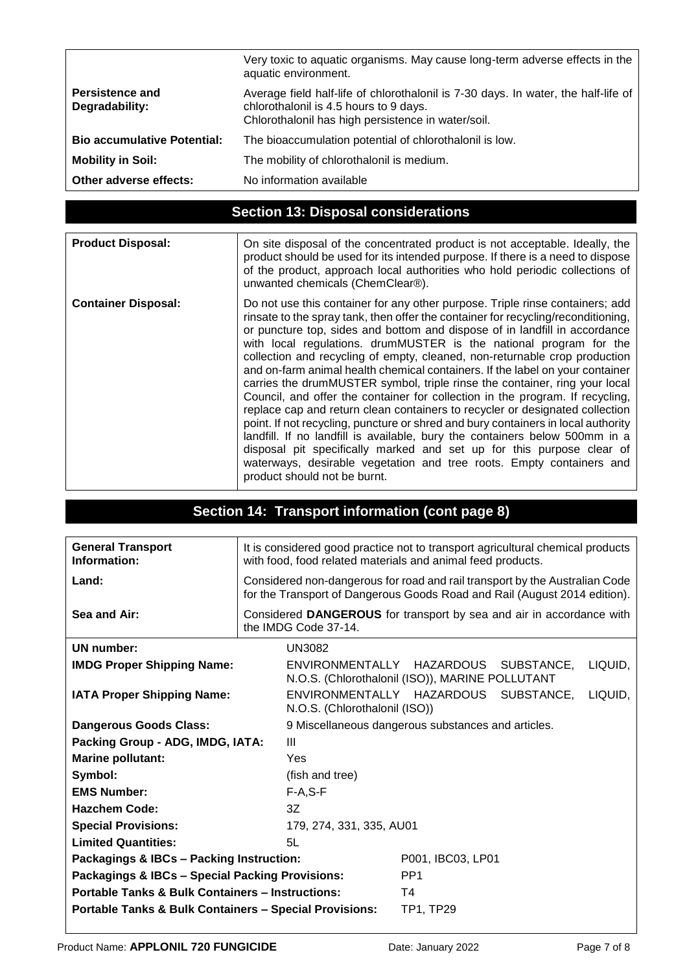|                                          | Very toxic to aquatic organisms. May cause long-term adverse effects in the<br>aquatic environment.                                                                                |
|------------------------------------------|------------------------------------------------------------------------------------------------------------------------------------------------------------------------------------|
| <b>Persistence and</b><br>Degradability: | Average field half-life of chlorothalonil is 7-30 days. In water, the half-life of<br>chlorothalonil is 4.5 hours to 9 days.<br>Chlorothalonil has high persistence in water/soil. |
| <b>Bio accumulative Potential:</b>       | The bioaccumulation potential of chlorothalonil is low.                                                                                                                            |
| <b>Mobility in Soil:</b>                 | The mobility of chlorothalonil is medium.                                                                                                                                          |
| Other adverse effects:                   | No information available                                                                                                                                                           |

## **Section 13: Disposal considerations**

| <b>Product Disposal:</b>   | On site disposal of the concentrated product is not acceptable. Ideally, the<br>product should be used for its intended purpose. If there is a need to dispose<br>of the product, approach local authorities who hold periodic collections of<br>unwanted chemicals (ChemClear®).                                                                                                                                                                                                                                                                                                                                                                                                                                                                                                                                                                                                                                                                                                                                                                                                         |
|----------------------------|-------------------------------------------------------------------------------------------------------------------------------------------------------------------------------------------------------------------------------------------------------------------------------------------------------------------------------------------------------------------------------------------------------------------------------------------------------------------------------------------------------------------------------------------------------------------------------------------------------------------------------------------------------------------------------------------------------------------------------------------------------------------------------------------------------------------------------------------------------------------------------------------------------------------------------------------------------------------------------------------------------------------------------------------------------------------------------------------|
| <b>Container Disposal:</b> | Do not use this container for any other purpose. Triple rinse containers; add<br>rinsate to the spray tank, then offer the container for recycling/reconditioning,<br>or puncture top, sides and bottom and dispose of in landfill in accordance<br>with local regulations. drumMUSTER is the national program for the<br>collection and recycling of empty, cleaned, non-returnable crop production<br>and on-farm animal health chemical containers. If the label on your container<br>carries the drumMUSTER symbol, triple rinse the container, ring your local<br>Council, and offer the container for collection in the program. If recycling,<br>replace cap and return clean containers to recycler or designated collection<br>point. If not recycling, puncture or shred and bury containers in local authority<br>landfill. If no landfill is available, bury the containers below 500mm in a<br>disposal pit specifically marked and set up for this purpose clear of<br>waterways, desirable vegetation and tree roots. Empty containers and<br>product should not be burnt. |

| Section 14: Transport information (cont page 8)                   |                                                                                                                                                          |                                                                                                       |  |  |  |
|-------------------------------------------------------------------|----------------------------------------------------------------------------------------------------------------------------------------------------------|-------------------------------------------------------------------------------------------------------|--|--|--|
|                                                                   |                                                                                                                                                          |                                                                                                       |  |  |  |
| <b>General Transport</b><br>Information:                          | It is considered good practice not to transport agricultural chemical products<br>with food, food related materials and animal feed products.            |                                                                                                       |  |  |  |
| Land:                                                             | Considered non-dangerous for road and rail transport by the Australian Code<br>for the Transport of Dangerous Goods Road and Rail (August 2014 edition). |                                                                                                       |  |  |  |
| Sea and Air:                                                      | Considered DANGEROUS for transport by sea and air in accordance with<br>the IMDG Code 37-14.                                                             |                                                                                                       |  |  |  |
| UN number:                                                        | <b>UN3082</b>                                                                                                                                            |                                                                                                       |  |  |  |
| <b>IMDG Proper Shipping Name:</b>                                 |                                                                                                                                                          | ENVIRONMENTALLY<br>HAZARDOUS SUBSTANCE,<br>LIQUID.<br>N.O.S. (Chlorothalonil (ISO)), MARINE POLLUTANT |  |  |  |
| <b>IATA Proper Shipping Name:</b>                                 |                                                                                                                                                          | ENVIRONMENTALLY HAZARDOUS<br>SUBSTANCE,<br>LIQUID,<br>N.O.S. (Chlorothalonil (ISO))                   |  |  |  |
| <b>Dangerous Goods Class:</b>                                     |                                                                                                                                                          | 9 Miscellaneous dangerous substances and articles.                                                    |  |  |  |
| Packing Group - ADG, IMDG, IATA:                                  | Ш                                                                                                                                                        |                                                                                                       |  |  |  |
| <b>Marine pollutant:</b>                                          | Yes                                                                                                                                                      |                                                                                                       |  |  |  |
| Symbol:                                                           | (fish and tree)                                                                                                                                          |                                                                                                       |  |  |  |
| <b>EMS Number:</b>                                                | $F-A, S-F$                                                                                                                                               |                                                                                                       |  |  |  |
| <b>Hazchem Code:</b>                                              | 3Z                                                                                                                                                       |                                                                                                       |  |  |  |
| <b>Special Provisions:</b>                                        | 179, 274, 331, 335, AU01                                                                                                                                 |                                                                                                       |  |  |  |
| <b>Limited Quantities:</b>                                        | 5I.                                                                                                                                                      |                                                                                                       |  |  |  |
| Packagings & IBCs - Packing Instruction:                          |                                                                                                                                                          | P001, IBC03, LP01                                                                                     |  |  |  |
| Packagings & IBCs - Special Packing Provisions:                   |                                                                                                                                                          | PP <sub>1</sub>                                                                                       |  |  |  |
| <b>Portable Tanks &amp; Bulk Containers - Instructions:</b>       |                                                                                                                                                          | T4                                                                                                    |  |  |  |
| <b>Portable Tanks &amp; Bulk Containers - Special Provisions:</b> |                                                                                                                                                          | <b>TP1, TP29</b>                                                                                      |  |  |  |
|                                                                   |                                                                                                                                                          |                                                                                                       |  |  |  |